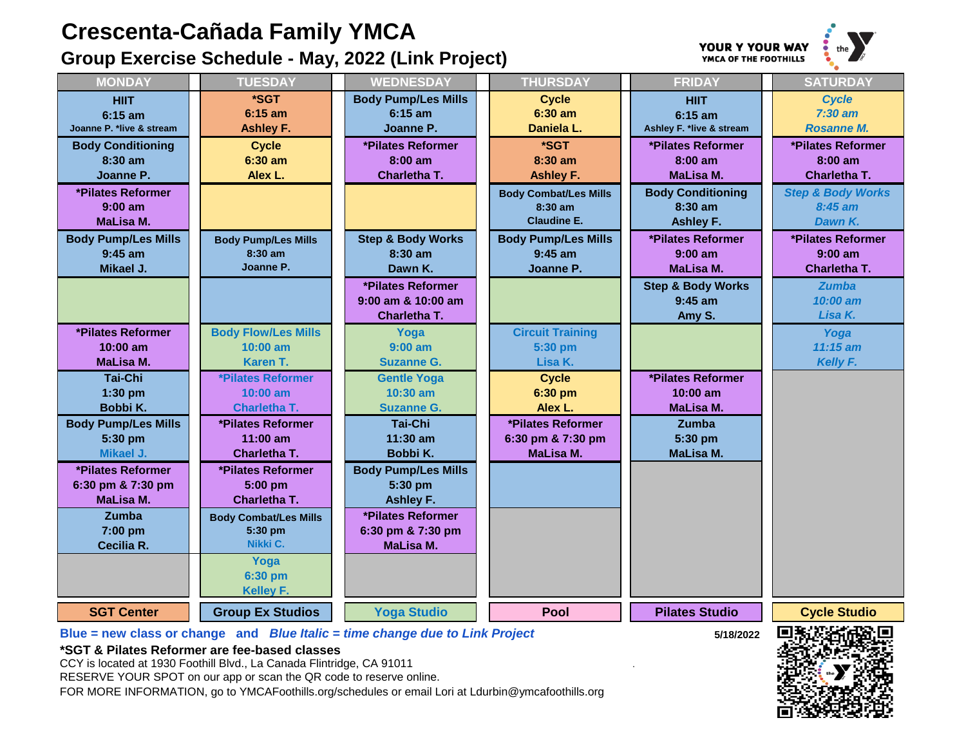## **Crescenta-Cañada Family YMCA**

## **Group Exercise Schedule - May, 2022 (Link Project)**



| JAY<br>ILLS | the             |
|-------------|-----------------|
|             | <b>SATURDAY</b> |

| <b>MONDAY</b>              | <b>TUESDAY</b>               | <b>WEDNESDAY</b>             | <b>THURSDAY</b>              | <b>FRIDAY</b>                | <b>SATURDAY</b>                   |
|----------------------------|------------------------------|------------------------------|------------------------------|------------------------------|-----------------------------------|
| <b>HIIT</b>                | *SGT                         | <b>Body Pump/Les Mills</b>   | <b>Cycle</b>                 | <b>HIIT</b>                  | <b>Cycle</b>                      |
| $6:15$ am                  | $6:15$ am                    | $6:15$ am                    | $6:30$ am                    | $6:15$ am                    | $7:30$ am                         |
| Joanne P. *live & stream   | <b>Ashley F.</b>             | Joanne P.                    | Daniela L.                   | Ashley F. *live & stream     | <b>Rosanne M.</b>                 |
| <b>Body Conditioning</b>   | <b>Cycle</b>                 | *Pilates Reformer            | *SGT                         | *Pilates Reformer            | *Pilates Reformer                 |
| $8:30$ am                  | $6:30$ am                    | $8:00$ am                    | 8:30 am                      | $8:00$ am                    | $8:00$ am                         |
| Joanne P.                  | Alex L.                      | <b>Charletha T.</b>          | <b>Ashley F.</b>             | <b>MaLisa M.</b>             | Charletha T.                      |
| *Pilates Reformer          |                              |                              | <b>Body Combat/Les Mills</b> | <b>Body Conditioning</b>     | <b>Step &amp; Body Works</b>      |
| $9:00$ am                  |                              |                              | $8:30$ am                    | $8:30$ am                    | $8:45$ am                         |
| MaLisa M.                  |                              |                              | <b>Claudine E.</b>           | <b>Ashley F.</b>             | Dawn K.                           |
| <b>Body Pump/Les Mills</b> | <b>Body Pump/Les Mills</b>   | <b>Step &amp; Body Works</b> | <b>Body Pump/Les Mills</b>   | *Pilates Reformer            | *Pilates Reformer                 |
| $9:45$ am                  | $8:30$ am                    | $8:30$ am                    | $9:45$ am                    | $9:00$ am                    | $9:00$ am                         |
| Mikael J.                  | Joanne P.                    | Dawn K.                      | Joanne P.                    | <b>MaLisa M.</b>             | <b>Charletha T.</b>               |
|                            |                              | *Pilates Reformer            |                              | <b>Step &amp; Body Works</b> | <b>Zumba</b>                      |
|                            |                              | 9:00 am & 10:00 am           |                              | $9:45$ am                    | 10:00 am                          |
|                            |                              | Charletha T.                 |                              | Amy S.                       | Lisa K.                           |
| *Pilates Reformer          | <b>Body Flow/Les Mills</b>   | Yoga                         | <b>Circuit Training</b>      |                              | Yoga                              |
| $10:00$ am                 | $10:00$ am                   | $9:00$ am                    | 5:30 pm                      |                              | $11:15$ am                        |
| <b>MaLisa M.</b>           | Karen T.                     | <b>Suzanne G.</b>            | Lisa K.                      |                              | Kelly F.                          |
| <b>Tai-Chi</b>             | *Pilates Reformer            | <b>Gentle Yoga</b>           | <b>Cycle</b>                 | *Pilates Reformer            |                                   |
| $1:30$ pm                  | $10:00$ am                   | $10:30$ am                   | 6:30 pm                      | $10:00$ am                   |                                   |
| Bobbi K.                   | <b>Charletha T.</b>          | <b>Suzanne G.</b>            | Alex L.                      | MaLisa M.                    |                                   |
| <b>Body Pump/Les Mills</b> | *Pilates Reformer            | Tai-Chi                      | *Pilates Reformer            | <b>Zumba</b>                 |                                   |
| 5:30 pm                    | $11:00$ am                   | $11:30$ am                   | 6:30 pm & 7:30 pm            | 5:30 pm                      |                                   |
| Mikael J.                  | Charletha T.                 | Bobbi K.                     | <b>MaLisa M.</b>             | <b>MaLisa M.</b>             |                                   |
| *Pilates Reformer          | *Pilates Reformer            | <b>Body Pump/Les Mills</b>   |                              |                              |                                   |
| 6:30 pm & 7:30 pm          | 5:00 pm                      | 5:30 pm                      |                              |                              |                                   |
| MaLisa M.                  | Charletha T.                 | <b>Ashley F.</b>             |                              |                              |                                   |
| Zumba                      | <b>Body Combat/Les Mills</b> | *Pilates Reformer            |                              |                              |                                   |
| 7:00 pm                    | 5:30 pm                      | 6:30 pm & 7:30 pm            |                              |                              |                                   |
| Cecilia R.                 | Nikki C.                     | MaLisa M.                    |                              |                              |                                   |
|                            | Yoga                         |                              |                              |                              |                                   |
|                            | 6:30 pm                      |                              |                              |                              |                                   |
|                            | <b>Kelley F.</b>             |                              |                              |                              |                                   |
| <b>SGT Center</b>          | <b>Group Ex Studios</b>      | <b>Yoga Studio</b>           | <b>Pool</b>                  | <b>Pilates Studio</b>        | <b>Cycle Studio</b>               |
|                            |                              |                              |                              |                              | <b>FEDERAL AND FILM JORN FEDE</b> |

**Blue = new class or change and** *Blue Italic = time change due to Link Project* **5/18/2022**

**\*SGT & Pilates Reformer are fee-based classes**

CCY is located at 1930 Foothill Blvd., La Canada Flintridge, CA 91011 .

RESERVE YOUR SPOT on our app or scan the QR code to reserve online.

FOR MORE INFORMATION, go to YMCAFoothills.org/schedules or email Lori at Ldurbin@ymcafoothills.org